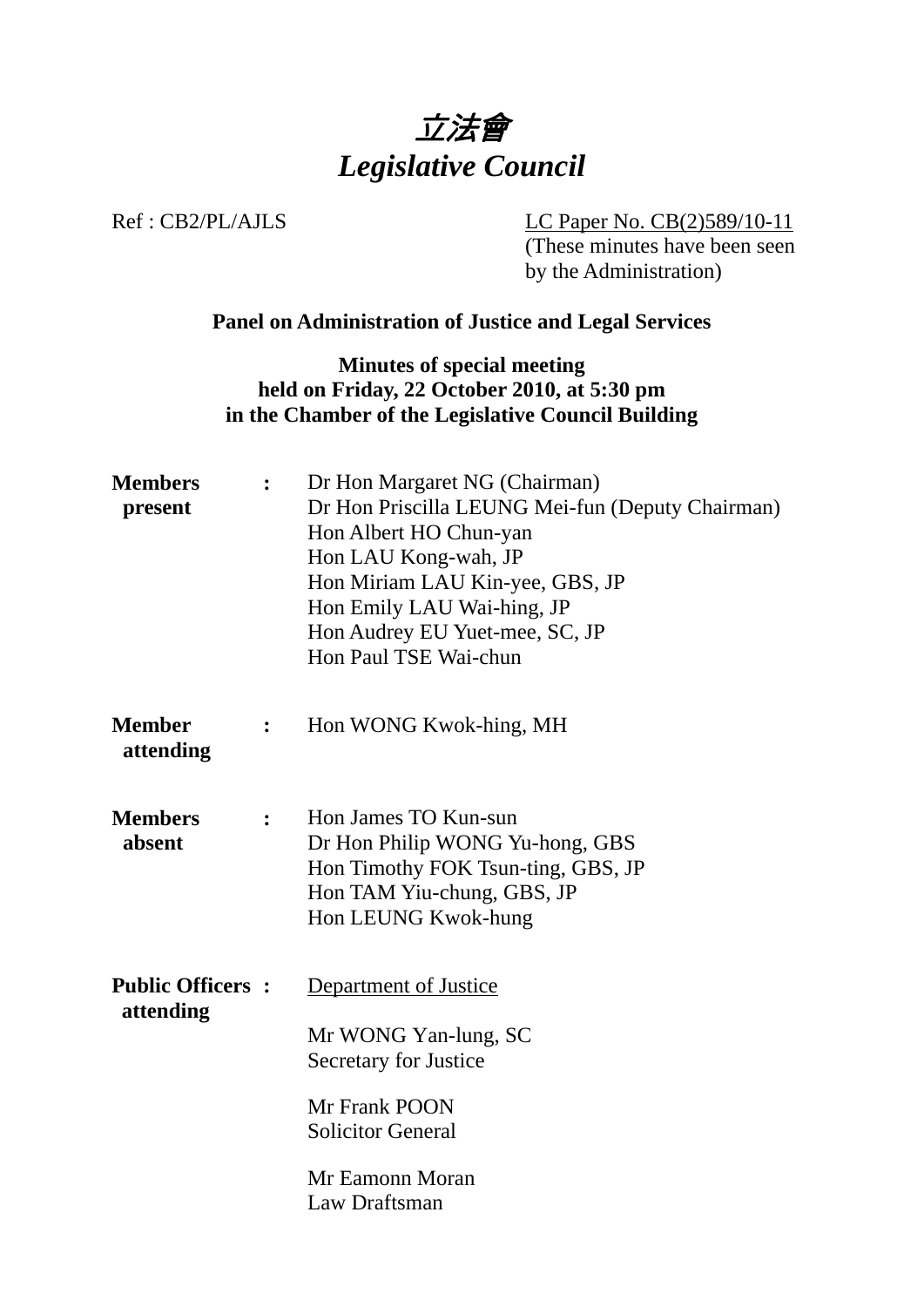

Ref : CB2/PL/AJLS LC Paper No. CB(2)589/10-11 (These minutes have been seen by the Administration)

# **Panel on Administration of Justice and Legal Services**

**Minutes of special meeting held on Friday, 22 October 2010, at 5:30 pm in the Chamber of the Legislative Council Building** 

| <b>Members</b><br>present            | $\ddot{\cdot}$ | Dr Hon Margaret NG (Chairman)<br>Dr Hon Priscilla LEUNG Mei-fun (Deputy Chairman)<br>Hon Albert HO Chun-yan<br>Hon LAU Kong-wah, JP<br>Hon Miriam LAU Kin-yee, GBS, JP<br>Hon Emily LAU Wai-hing, JP<br>Hon Audrey EU Yuet-mee, SC, JP<br>Hon Paul TSE Wai-chun |
|--------------------------------------|----------------|-----------------------------------------------------------------------------------------------------------------------------------------------------------------------------------------------------------------------------------------------------------------|
| <b>Member</b><br>attending           | $\ddot{\cdot}$ | Hon WONG Kwok-hing, MH                                                                                                                                                                                                                                          |
| <b>Members</b><br>absent             | $\ddot{\cdot}$ | Hon James TO Kun-sun<br>Dr Hon Philip WONG Yu-hong, GBS<br>Hon Timothy FOK Tsun-ting, GBS, JP<br>Hon TAM Yiu-chung, GBS, JP<br>Hon LEUNG Kwok-hung                                                                                                              |
| <b>Public Officers:</b><br>attending |                | Department of Justice<br>Mr WONG Yan-lung, SC<br>Secretary for Justice<br>Mr Frank POON<br><b>Solicitor General</b><br>Mr Eamonn Moran<br>Law Draftsman                                                                                                         |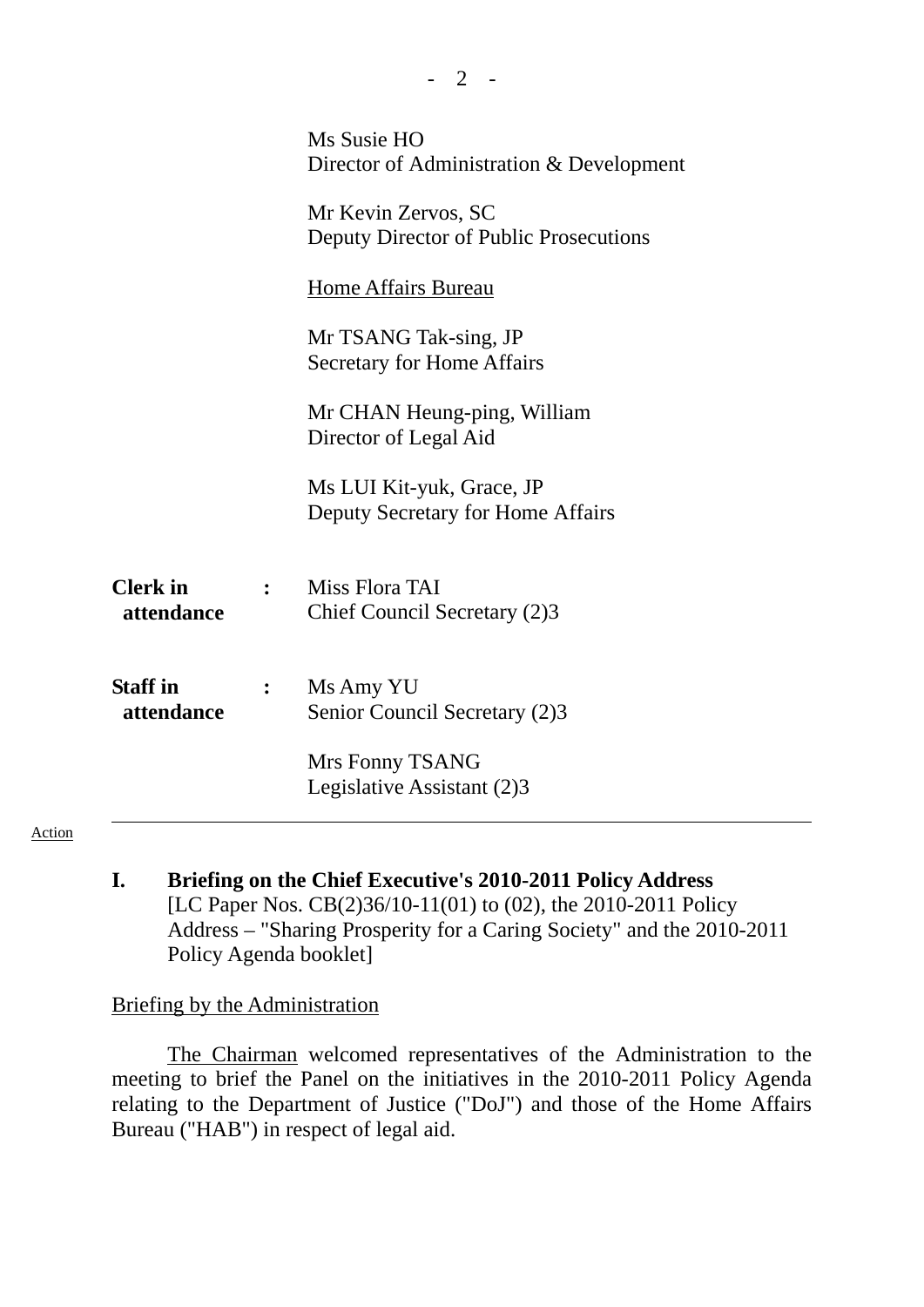|                               |                | Ms Susie HO<br>Director of Administration & Development        |
|-------------------------------|----------------|----------------------------------------------------------------|
|                               |                | Mr Kevin Zervos, SC<br>Deputy Director of Public Prosecutions  |
|                               |                | <b>Home Affairs Bureau</b>                                     |
|                               |                | Mr TSANG Tak-sing, JP<br><b>Secretary for Home Affairs</b>     |
|                               |                | Mr CHAN Heung-ping, William<br>Director of Legal Aid           |
|                               |                | Ms LUI Kit-yuk, Grace, JP<br>Deputy Secretary for Home Affairs |
| <b>Clerk</b> in<br>attendance | $\ddot{\cdot}$ | Miss Flora TAI<br>Chief Council Secretary (2)3                 |
| <b>Staff</b> in<br>attendance | $\mathbf{L}$   | Ms Amy YU<br>Senior Council Secretary (2)3                     |
|                               |                | Mrs Fonny TSANG<br>Legislative Assistant (2)3                  |

 $- 2 - 1$ 

#### Action

**I. Briefing on the Chief Executive's 2010-2011 Policy Address**  [LC Paper Nos. CB(2)36/10-11(01) to (02), the 2010-2011 Policy Address – "Sharing Prosperity for a Caring Society" and the 2010-2011 Policy Agenda booklet]

#### Briefing by the Administration

The Chairman welcomed representatives of the Administration to the meeting to brief the Panel on the initiatives in the 2010-2011 Policy Agenda relating to the Department of Justice ("DoJ") and those of the Home Affairs Bureau ("HAB") in respect of legal aid.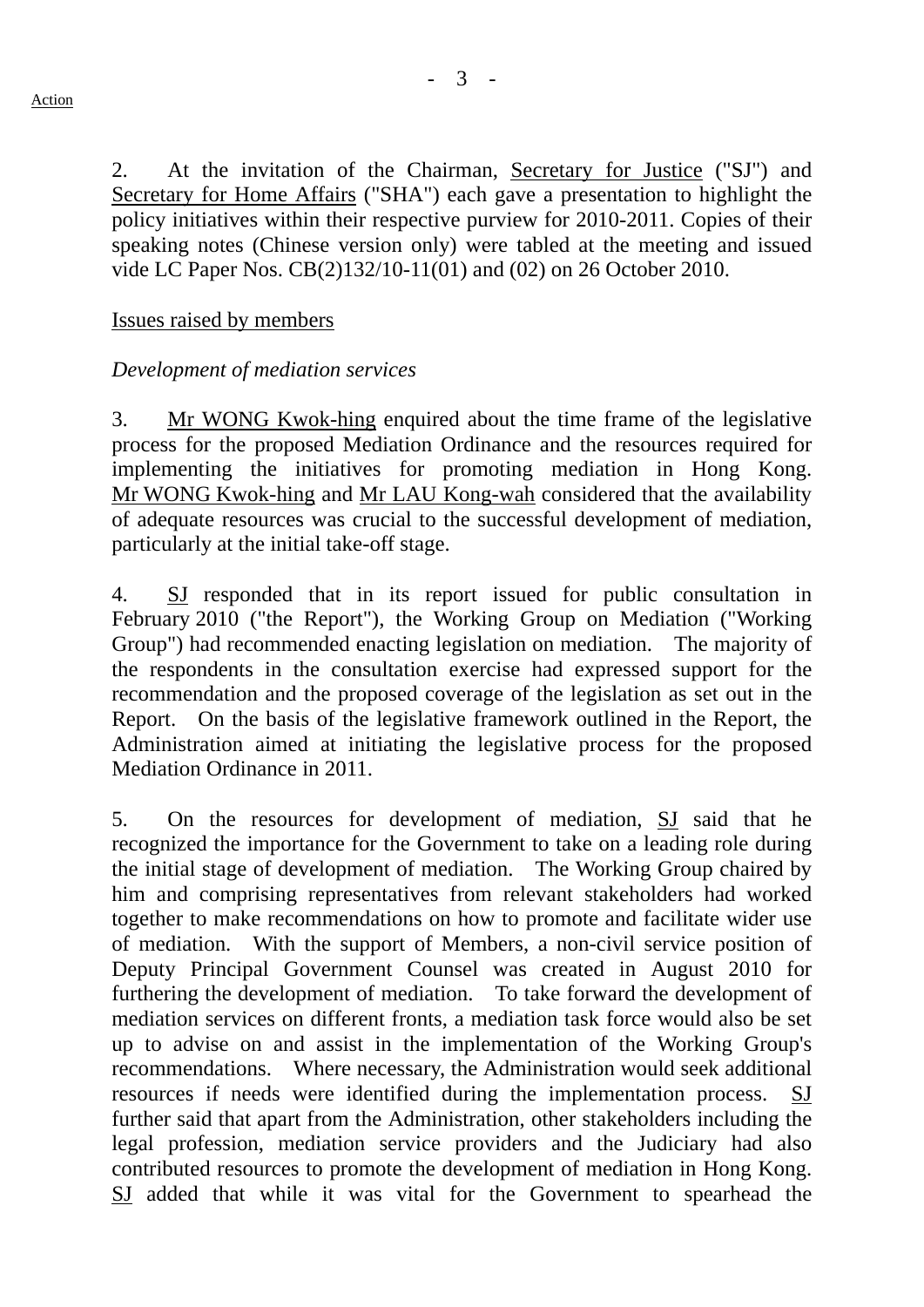2. At the invitation of the Chairman, Secretary for Justice ("SJ") and Secretary for Home Affairs ("SHA") each gave a presentation to highlight the policy initiatives within their respective purview for 2010-2011. Copies of their speaking notes (Chinese version only) were tabled at the meeting and issued vide LC Paper Nos. CB(2)132/10-11(01) and (02) on 26 October 2010.

## Issues raised by members

## *Development of mediation services*

3. Mr WONG Kwok-hing enquired about the time frame of the legislative process for the proposed Mediation Ordinance and the resources required for implementing the initiatives for promoting mediation in Hong Kong. Mr WONG Kwok-hing and Mr LAU Kong-wah considered that the availability of adequate resources was crucial to the successful development of mediation, particularly at the initial take-off stage.

4. SJ responded that in its report issued for public consultation in February 2010 ("the Report"), the Working Group on Mediation ("Working Group") had recommended enacting legislation on mediation. The majority of the respondents in the consultation exercise had expressed support for the recommendation and the proposed coverage of the legislation as set out in the Report. On the basis of the legislative framework outlined in the Report, the Administration aimed at initiating the legislative process for the proposed Mediation Ordinance in 2011.

5. On the resources for development of mediation, SJ said that he recognized the importance for the Government to take on a leading role during the initial stage of development of mediation. The Working Group chaired by him and comprising representatives from relevant stakeholders had worked together to make recommendations on how to promote and facilitate wider use of mediation. With the support of Members, a non-civil service position of Deputy Principal Government Counsel was created in August 2010 for furthering the development of mediation. To take forward the development of mediation services on different fronts, a mediation task force would also be set up to advise on and assist in the implementation of the Working Group's recommendations. Where necessary, the Administration would seek additional resources if needs were identified during the implementation process. SJ further said that apart from the Administration, other stakeholders including the legal profession, mediation service providers and the Judiciary had also contributed resources to promote the development of mediation in Hong Kong. SJ added that while it was vital for the Government to spearhead the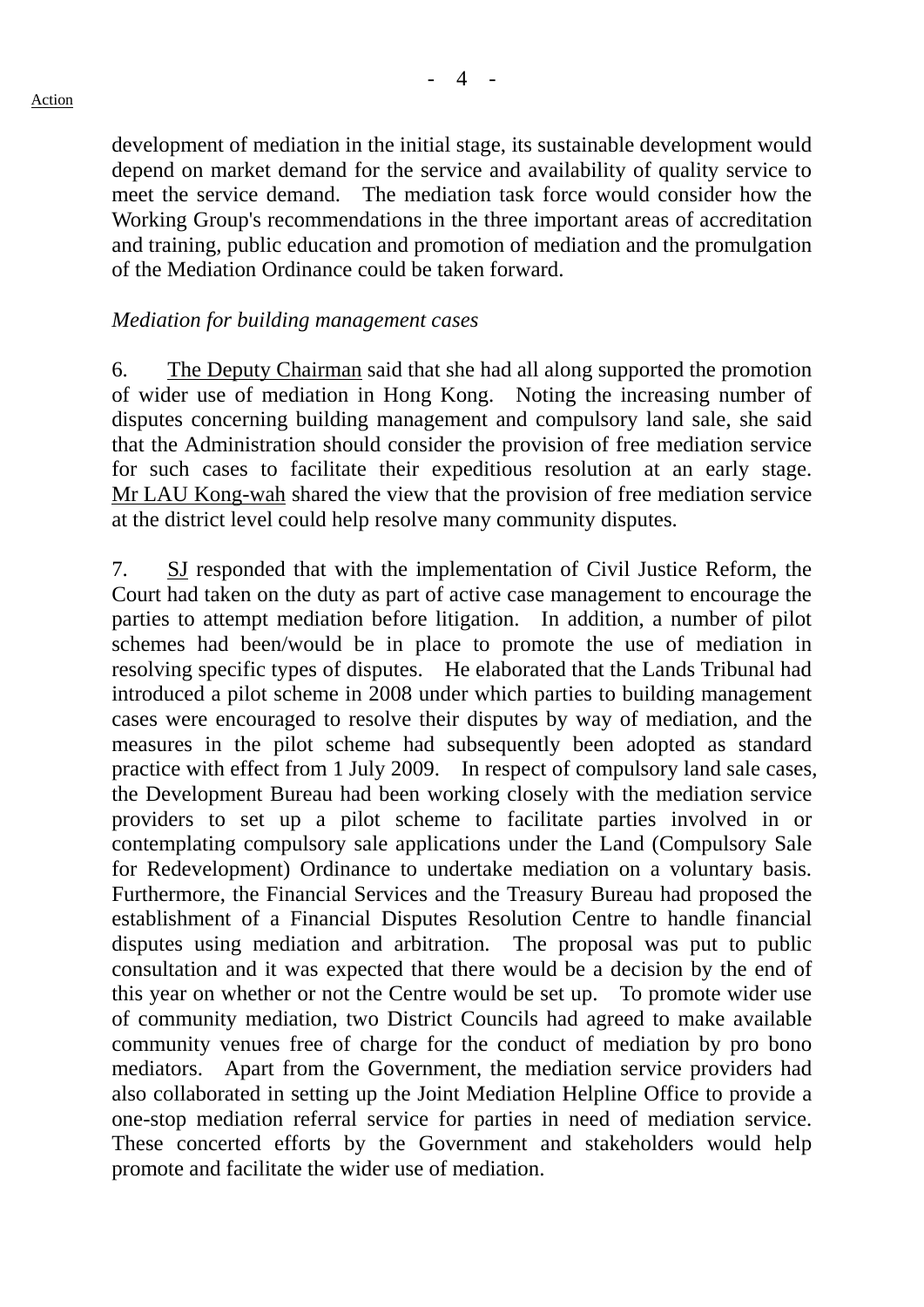development of mediation in the initial stage, its sustainable development would

depend on market demand for the service and availability of quality service to meet the service demand. The mediation task force would consider how the Working Group's recommendations in the three important areas of accreditation and training, public education and promotion of mediation and the promulgation of the Mediation Ordinance could be taken forward.

## *Mediation for building management cases*

6. The Deputy Chairman said that she had all along supported the promotion of wider use of mediation in Hong Kong. Noting the increasing number of disputes concerning building management and compulsory land sale, she said that the Administration should consider the provision of free mediation service for such cases to facilitate their expeditious resolution at an early stage. Mr LAU Kong-wah shared the view that the provision of free mediation service at the district level could help resolve many community disputes.

7. SJ responded that with the implementation of Civil Justice Reform, the Court had taken on the duty as part of active case management to encourage the parties to attempt mediation before litigation. In addition, a number of pilot schemes had been/would be in place to promote the use of mediation in resolving specific types of disputes. He elaborated that the Lands Tribunal had introduced a pilot scheme in 2008 under which parties to building management cases were encouraged to resolve their disputes by way of mediation, and the measures in the pilot scheme had subsequently been adopted as standard practice with effect from 1 July 2009. In respect of compulsory land sale cases, the Development Bureau had been working closely with the mediation service providers to set up a pilot scheme to facilitate parties involved in or contemplating compulsory sale applications under the Land (Compulsory Sale for Redevelopment) Ordinance to undertake mediation on a voluntary basis. Furthermore, the Financial Services and the Treasury Bureau had proposed the establishment of a Financial Disputes Resolution Centre to handle financial disputes using mediation and arbitration. The proposal was put to public consultation and it was expected that there would be a decision by the end of this year on whether or not the Centre would be set up. To promote wider use of community mediation, two District Councils had agreed to make available community venues free of charge for the conduct of mediation by pro bono mediators. Apart from the Government, the mediation service providers had also collaborated in setting up the Joint Mediation Helpline Office to provide a one-stop mediation referral service for parties in need of mediation service. These concerted efforts by the Government and stakeholders would help promote and facilitate the wider use of mediation.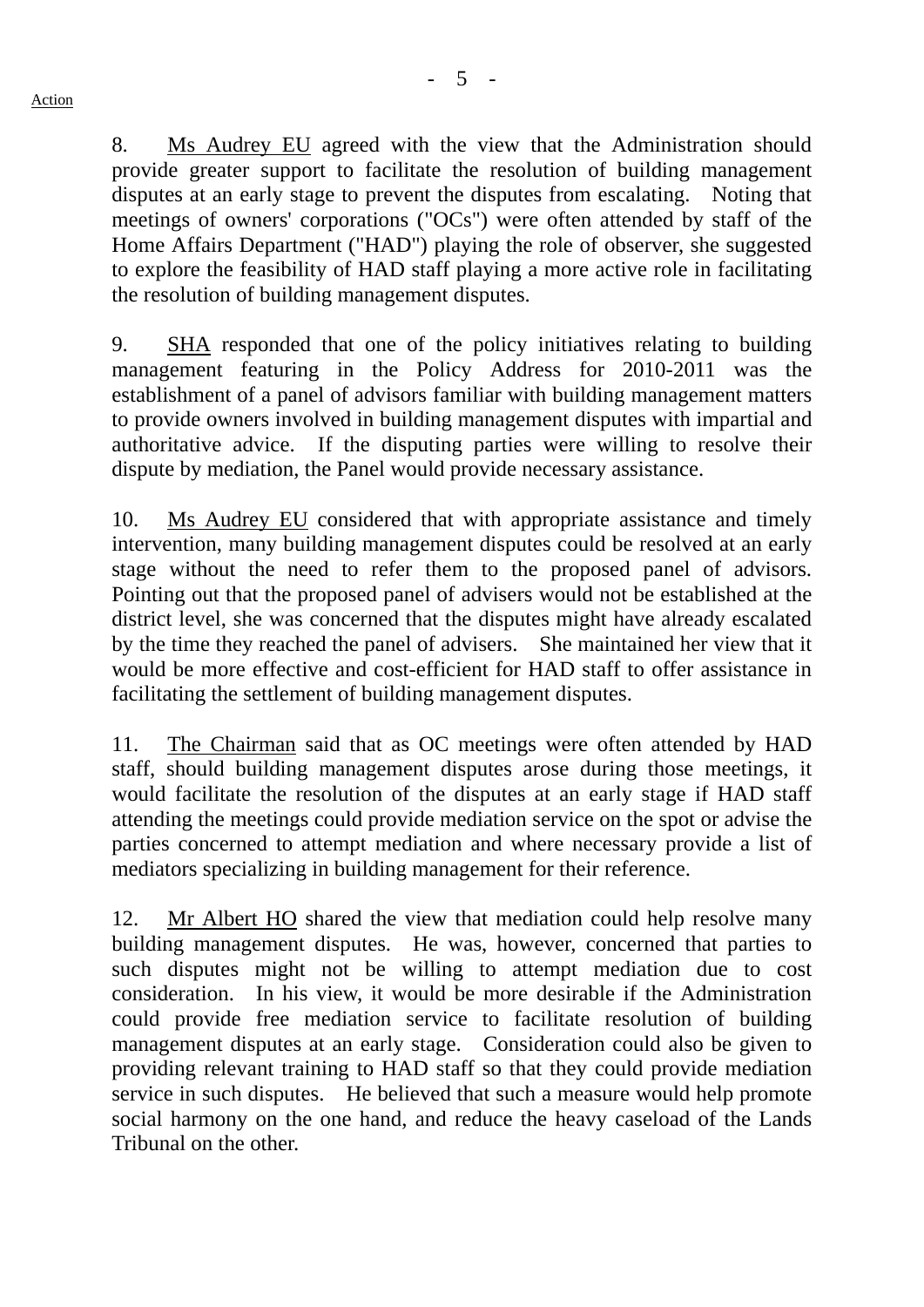8. Ms Audrey EU agreed with the view that the Administration should provide greater support to facilitate the resolution of building management disputes at an early stage to prevent the disputes from escalating. Noting that meetings of owners' corporations ("OCs") were often attended by staff of the Home Affairs Department ("HAD") playing the role of observer, she suggested to explore the feasibility of HAD staff playing a more active role in facilitating the resolution of building management disputes.

9. SHA responded that one of the policy initiatives relating to building management featuring in the Policy Address for 2010-2011 was the establishment of a panel of advisors familiar with building management matters to provide owners involved in building management disputes with impartial and authoritative advice. If the disputing parties were willing to resolve their dispute by mediation, the Panel would provide necessary assistance.

10. Ms Audrey EU considered that with appropriate assistance and timely intervention, many building management disputes could be resolved at an early stage without the need to refer them to the proposed panel of advisors. Pointing out that the proposed panel of advisers would not be established at the district level, she was concerned that the disputes might have already escalated by the time they reached the panel of advisers. She maintained her view that it would be more effective and cost-efficient for HAD staff to offer assistance in facilitating the settlement of building management disputes.

11. The Chairman said that as OC meetings were often attended by HAD staff, should building management disputes arose during those meetings, it would facilitate the resolution of the disputes at an early stage if HAD staff attending the meetings could provide mediation service on the spot or advise the parties concerned to attempt mediation and where necessary provide a list of mediators specializing in building management for their reference.

12. Mr Albert HO shared the view that mediation could help resolve many building management disputes. He was, however, concerned that parties to such disputes might not be willing to attempt mediation due to cost consideration. In his view, it would be more desirable if the Administration could provide free mediation service to facilitate resolution of building management disputes at an early stage. Consideration could also be given to providing relevant training to HAD staff so that they could provide mediation service in such disputes. He believed that such a measure would help promote social harmony on the one hand, and reduce the heavy caseload of the Lands Tribunal on the other.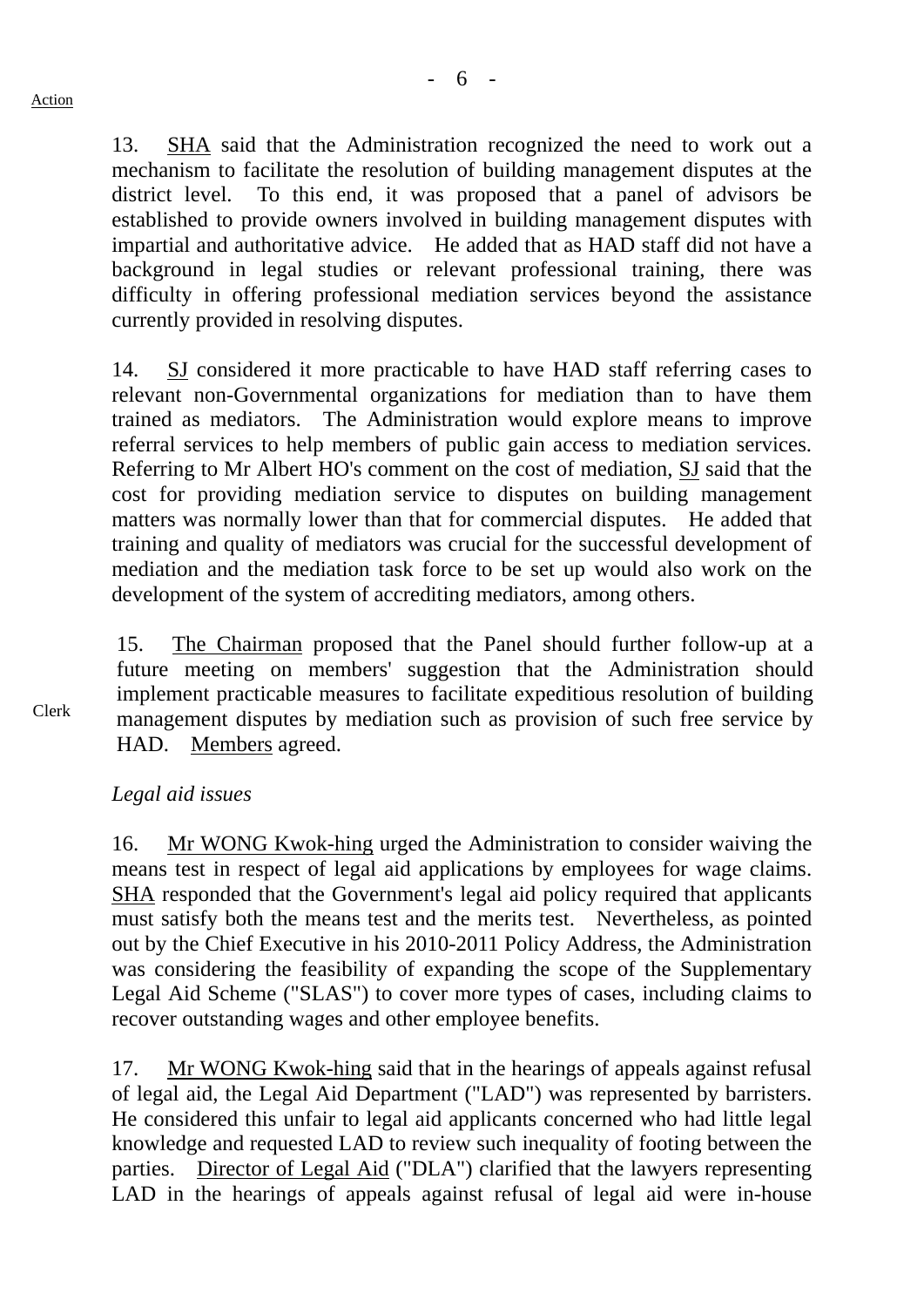13. SHA said that the Administration recognized the need to work out a mechanism to facilitate the resolution of building management disputes at the district level. To this end, it was proposed that a panel of advisors be established to provide owners involved in building management disputes with impartial and authoritative advice. He added that as HAD staff did not have a background in legal studies or relevant professional training, there was difficulty in offering professional mediation services beyond the assistance currently provided in resolving disputes.

14. SJ considered it more practicable to have HAD staff referring cases to relevant non-Governmental organizations for mediation than to have them trained as mediators. The Administration would explore means to improve referral services to help members of public gain access to mediation services. Referring to Mr Albert HO's comment on the cost of mediation, SJ said that the cost for providing mediation service to disputes on building management matters was normally lower than that for commercial disputes. He added that training and quality of mediators was crucial for the successful development of mediation and the mediation task force to be set up would also work on the development of the system of accrediting mediators, among others.

15. The Chairman proposed that the Panel should further follow-up at a future meeting on members' suggestion that the Administration should implement practicable measures to facilitate expeditious resolution of building management disputes by mediation such as provision of such free service by HAD. Members agreed.

Clerk

#### *Legal aid issues*

16. Mr WONG Kwok-hing urged the Administration to consider waiving the means test in respect of legal aid applications by employees for wage claims. SHA responded that the Government's legal aid policy required that applicants must satisfy both the means test and the merits test. Nevertheless, as pointed out by the Chief Executive in his 2010-2011 Policy Address, the Administration was considering the feasibility of expanding the scope of the Supplementary Legal Aid Scheme ("SLAS") to cover more types of cases, including claims to recover outstanding wages and other employee benefits.

17. Mr WONG Kwok-hing said that in the hearings of appeals against refusal of legal aid, the Legal Aid Department ("LAD") was represented by barristers. He considered this unfair to legal aid applicants concerned who had little legal knowledge and requested LAD to review such inequality of footing between the parties. Director of Legal Aid ("DLA") clarified that the lawyers representing LAD in the hearings of appeals against refusal of legal aid were in-house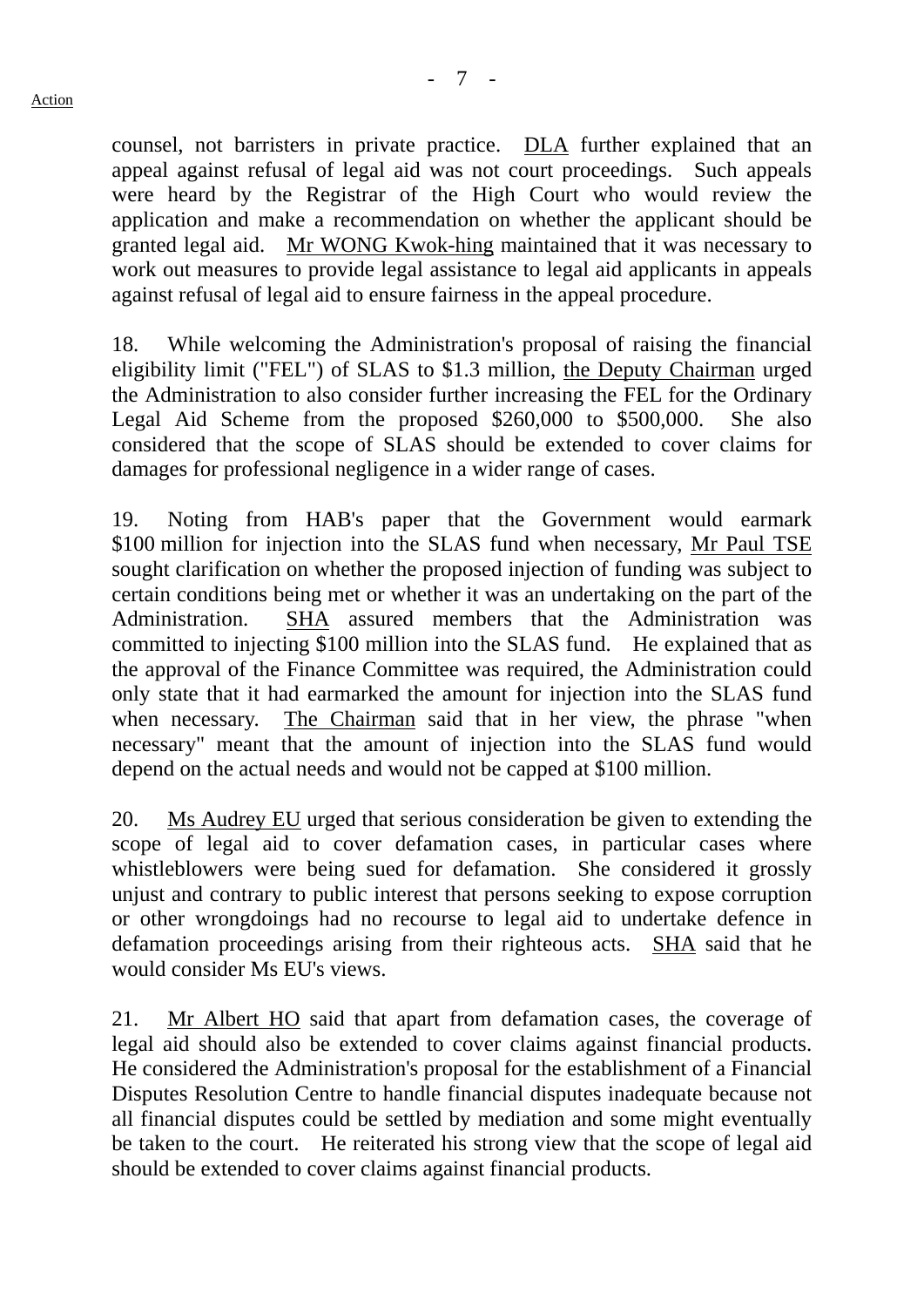counsel, not barristers in private practice. DLA further explained that an appeal against refusal of legal aid was not court proceedings. Such appeals were heard by the Registrar of the High Court who would review the application and make a recommendation on whether the applicant should be granted legal aid. Mr WONG Kwok-hing maintained that it was necessary to work out measures to provide legal assistance to legal aid applicants in appeals against refusal of legal aid to ensure fairness in the appeal procedure.

18. While welcoming the Administration's proposal of raising the financial eligibility limit ("FEL") of SLAS to \$1.3 million, the Deputy Chairman urged the Administration to also consider further increasing the FEL for the Ordinary Legal Aid Scheme from the proposed \$260,000 to \$500,000. She also considered that the scope of SLAS should be extended to cover claims for damages for professional negligence in a wider range of cases.

19. Noting from HAB's paper that the Government would earmark \$100 million for injection into the SLAS fund when necessary, Mr Paul TSE sought clarification on whether the proposed injection of funding was subject to certain conditions being met or whether it was an undertaking on the part of the Administration. SHA assured members that the Administration was committed to injecting \$100 million into the SLAS fund. He explained that as the approval of the Finance Committee was required, the Administration could only state that it had earmarked the amount for injection into the SLAS fund when necessary. The Chairman said that in her view, the phrase "when necessary" meant that the amount of injection into the SLAS fund would depend on the actual needs and would not be capped at \$100 million.

20. Ms Audrey EU urged that serious consideration be given to extending the scope of legal aid to cover defamation cases, in particular cases where whistleblowers were being sued for defamation. She considered it grossly unjust and contrary to public interest that persons seeking to expose corruption or other wrongdoings had no recourse to legal aid to undertake defence in defamation proceedings arising from their righteous acts. SHA said that he would consider Ms EU's views.

21. Mr Albert HO said that apart from defamation cases, the coverage of legal aid should also be extended to cover claims against financial products. He considered the Administration's proposal for the establishment of a Financial Disputes Resolution Centre to handle financial disputes inadequate because not all financial disputes could be settled by mediation and some might eventually be taken to the court. He reiterated his strong view that the scope of legal aid should be extended to cover claims against financial products.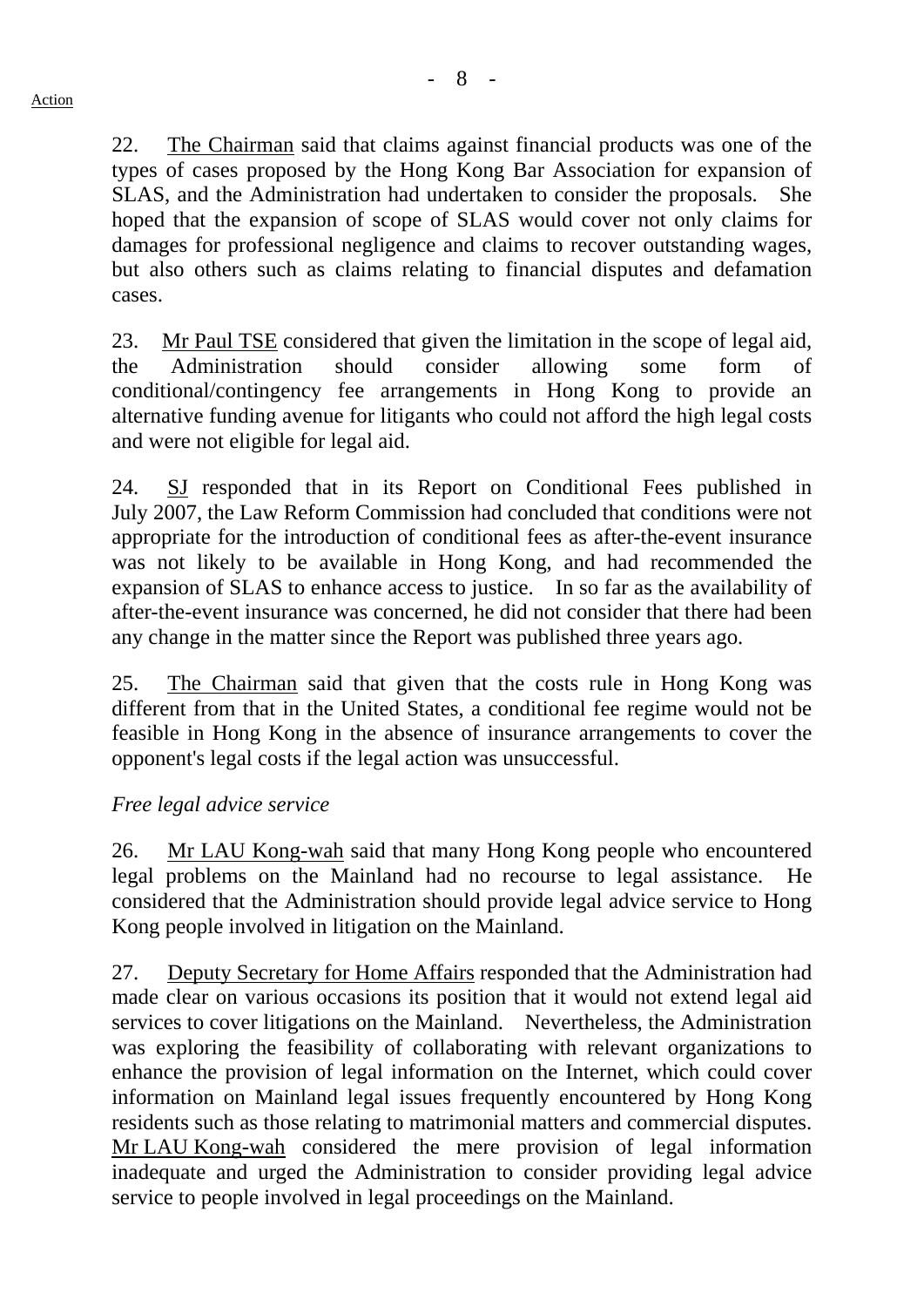22. The Chairman said that claims against financial products was one of the types of cases proposed by the Hong Kong Bar Association for expansion of SLAS, and the Administration had undertaken to consider the proposals. She hoped that the expansion of scope of SLAS would cover not only claims for damages for professional negligence and claims to recover outstanding wages, but also others such as claims relating to financial disputes and defamation cases.

23. Mr Paul TSE considered that given the limitation in the scope of legal aid, the Administration should consider allowing some form of conditional/contingency fee arrangements in Hong Kong to provide an alternative funding avenue for litigants who could not afford the high legal costs and were not eligible for legal aid.

24. SJ responded that in its Report on Conditional Fees published in July 2007, the Law Reform Commission had concluded that conditions were not appropriate for the introduction of conditional fees as after-the-event insurance was not likely to be available in Hong Kong, and had recommended the expansion of SLAS to enhance access to justice. In so far as the availability of after-the-event insurance was concerned, he did not consider that there had been any change in the matter since the Report was published three years ago.

25. The Chairman said that given that the costs rule in Hong Kong was different from that in the United States, a conditional fee regime would not be feasible in Hong Kong in the absence of insurance arrangements to cover the opponent's legal costs if the legal action was unsuccessful.

## *Free legal advice service*

26. Mr LAU Kong-wah said that many Hong Kong people who encountered legal problems on the Mainland had no recourse to legal assistance. He considered that the Administration should provide legal advice service to Hong Kong people involved in litigation on the Mainland.

27. Deputy Secretary for Home Affairs responded that the Administration had made clear on various occasions its position that it would not extend legal aid services to cover litigations on the Mainland. Nevertheless, the Administration was exploring the feasibility of collaborating with relevant organizations to enhance the provision of legal information on the Internet, which could cover information on Mainland legal issues frequently encountered by Hong Kong residents such as those relating to matrimonial matters and commercial disputes. Mr LAU Kong-wah considered the mere provision of legal information inadequate and urged the Administration to consider providing legal advice service to people involved in legal proceedings on the Mainland.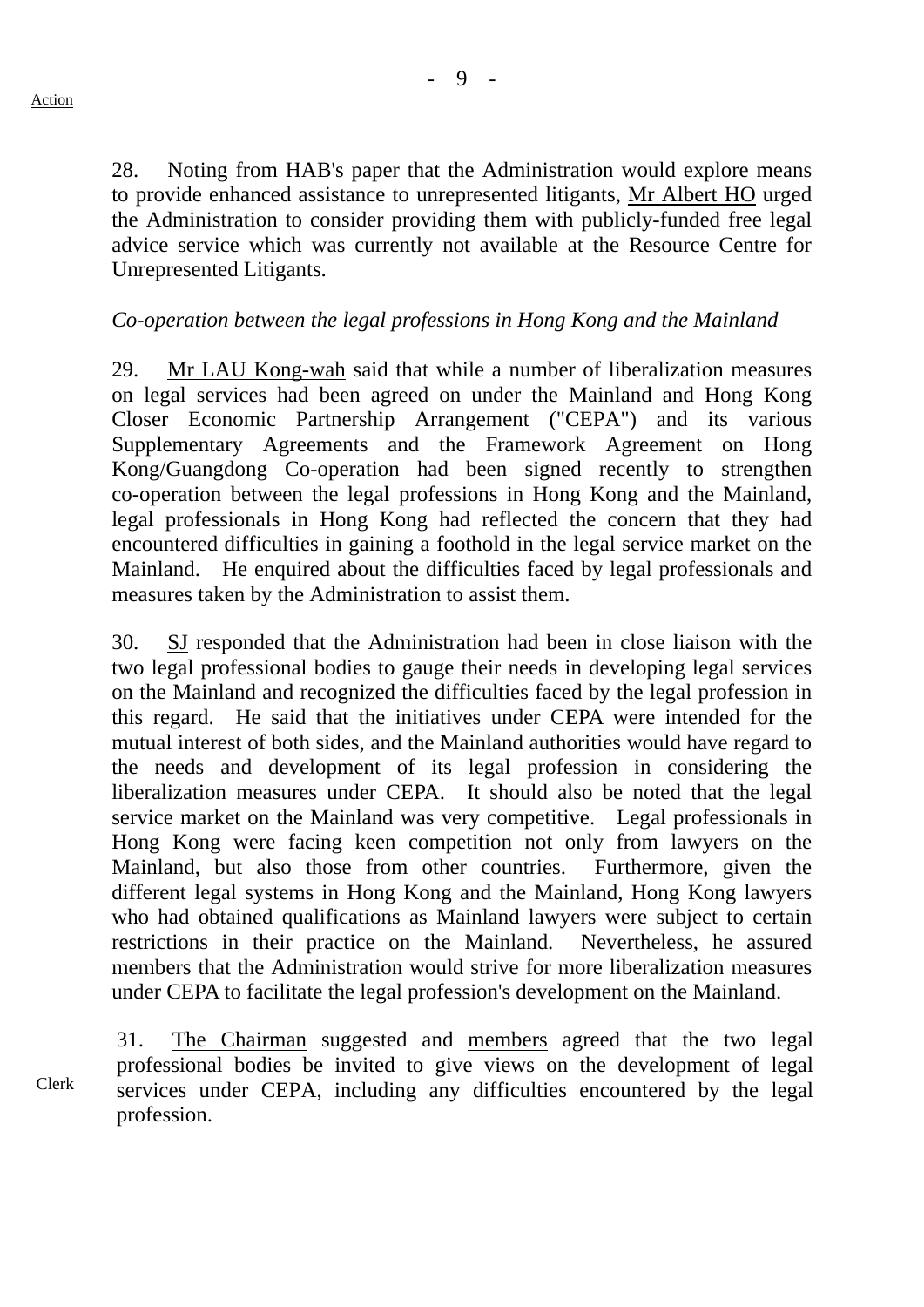- 9 -

28. Noting from HAB's paper that the Administration would explore means to provide enhanced assistance to unrepresented litigants, Mr Albert HO urged the Administration to consider providing them with publicly-funded free legal advice service which was currently not available at the Resource Centre for Unrepresented Litigants.

# *Co-operation between the legal professions in Hong Kong and the Mainland*

29. Mr LAU Kong-wah said that while a number of liberalization measures on legal services had been agreed on under the Mainland and Hong Kong Closer Economic Partnership Arrangement ("CEPA") and its various Supplementary Agreements and the Framework Agreement on Hong Kong/Guangdong Co-operation had been signed recently to strengthen co-operation between the legal professions in Hong Kong and the Mainland, legal professionals in Hong Kong had reflected the concern that they had encountered difficulties in gaining a foothold in the legal service market on the Mainland. He enquired about the difficulties faced by legal professionals and measures taken by the Administration to assist them.

30. SJ responded that the Administration had been in close liaison with the two legal professional bodies to gauge their needs in developing legal services on the Mainland and recognized the difficulties faced by the legal profession in this regard. He said that the initiatives under CEPA were intended for the mutual interest of both sides, and the Mainland authorities would have regard to the needs and development of its legal profession in considering the liberalization measures under CEPA. It should also be noted that the legal service market on the Mainland was very competitive. Legal professionals in Hong Kong were facing keen competition not only from lawyers on the Mainland, but also those from other countries. Furthermore, given the different legal systems in Hong Kong and the Mainland, Hong Kong lawyers who had obtained qualifications as Mainland lawyers were subject to certain restrictions in their practice on the Mainland. Nevertheless, he assured members that the Administration would strive for more liberalization measures under CEPA to facilitate the legal profession's development on the Mainland.

Clerk 31. The Chairman suggested and members agreed that the two legal professional bodies be invited to give views on the development of legal services under CEPA, including any difficulties encountered by the legal profession.